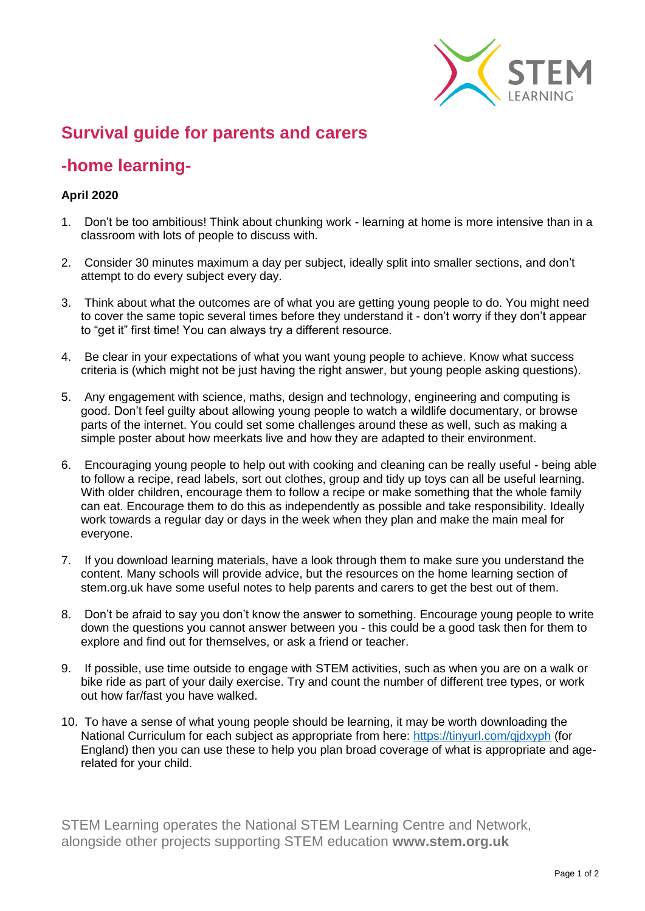

## **Survival guide for parents and carers**

## **-home learning-**

## **April 2020**

- 1. Don't be too ambitious! Think about chunking work learning at home is more intensive than in a classroom with lots of people to discuss with.
- 2. Consider 30 minutes maximum a day per subject, ideally split into smaller sections, and don't attempt to do every subject every day.
- 3. Think about what the outcomes are of what you are getting young people to do. You might need to cover the same topic several times before they understand it - don't worry if they don't appear to "get it" first time! You can always try a different resource.
- 4. Be clear in your expectations of what you want young people to achieve. Know what success criteria is (which might not be just having the right answer, but young people asking questions).
- 5. Any engagement with science, maths, design and technology, engineering and computing is good. Don't feel guilty about allowing young people to watch a wildlife documentary, or browse parts of the internet. You could set some challenges around these as well, such as making a simple poster about how meerkats live and how they are adapted to their environment.
- 6. Encouraging young people to help out with cooking and cleaning can be really useful being able to follow a recipe, read labels, sort out clothes, group and tidy up toys can all be useful learning. With older children, encourage them to follow a recipe or make something that the whole family can eat. Encourage them to do this as independently as possible and take responsibility. Ideally work towards a regular day or days in the week when they plan and make the main meal for everyone.
- 7. If you download learning materials, have a look through them to make sure you understand the content. Many schools will provide advice, but the resources on the home learning section of stem.org.uk have some useful notes to help parents and carers to get the best out of them.
- 8. Don't be afraid to say you don't know the answer to something. Encourage young people to write down the questions you cannot answer between you - this could be a good task then for them to explore and find out for themselves, or ask a friend or teacher.
- 9. If possible, use time outside to engage with STEM activities, such as when you are on a walk or bike ride as part of your daily exercise. Try and count the number of different tree types, or work out how far/fast you have walked.
- 10. To have a sense of what young people should be learning, it may be worth downloading the National Curriculum for each subject as appropriate from here:<https://tinyurl.com/qjdxyph> (for England) then you can use these to help you plan broad coverage of what is appropriate and agerelated for your child.

STEM Learning operates the National STEM Learning Centre and Network, alongside other projects supporting STEM education **www.stem.org.uk**